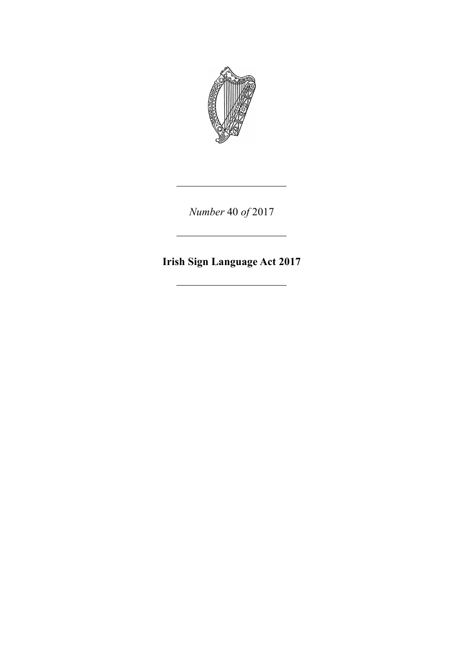

*Number* 40 *of* 2017

**Irish Sign Language Act 2017**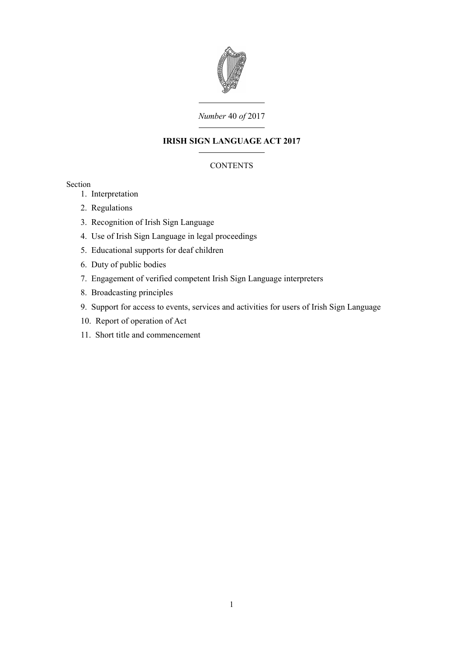

# *Number* 40 *of* 2017

# **IRISH SIGN LANGUAGE ACT 2017**

# **CONTENTS**

# Section

- 1. [Interpretation](#page-4-0)
- 2. [Regulations](#page-5-3)
- 3. [Recognition of Irish Sign Language](#page-5-2)
- 4. [Use of Irish Sign Language in legal proceedings](#page-5-1)
- 5. [Educational supports for deaf children](#page-5-0)
- 6. [Duty of public bodies](#page-6-1)
- 7. [Engagement of verified competent Irish Sign Language interpreters](#page-6-0)
- 8. [Broadcasting principles](#page-7-3)
- 9. [Support for access to events, services and activities for users of Irish Sign Language](#page-7-2)
- 10. [Report of operation of Act](#page-7-1)
- 11. [Short title and commencement](#page-7-0)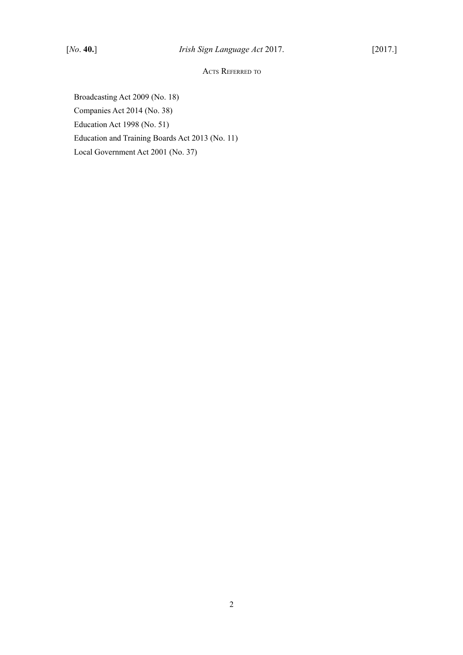# ACTS REFERRED TO

Broadcasting Act 2009 (No. 18) Companies Act 2014 (No. 38) Education Act 1998 (No. 51) Education and Training Boards Act 2013 (No. 11) Local Government Act 2001 (No. 37)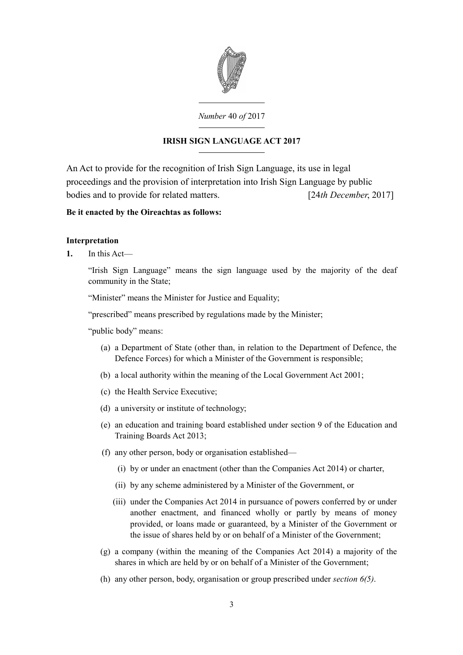

### *Number* 40 *of* 2017

# **IRISH SIGN LANGUAGE ACT 2017**

An Act to provide for the recognition of Irish Sign Language, its use in legal proceedings and the provision of interpretation into Irish Sign Language by public bodies and to provide for related matters. [24*th December*, 2017]

# **Be it enacted by the Oireachtas as follows:**

# <span id="page-4-0"></span>**Interpretation**

**1.** In this Act—

"Irish Sign Language" means the sign language used by the majority of the deaf community in the State;

"Minister" means the Minister for Justice and Equality;

"prescribed" means prescribed by regulations made by the Minister;

"public body" means:

- (a) a Department of State (other than, in relation to the Department of Defence, the Defence Forces) for which a Minister of the Government is responsible;
- (b) a local authority within the meaning of the Local Government Act 2001;
- (c) the Health Service Executive;
- (d) a university or institute of technology;
- (e) an education and training board established under section 9 of the Education and Training Boards Act 2013;
- (f) any other person, body or organisation established—
	- (i) by or under an enactment (other than the Companies Act 2014) or charter,
	- (ii) by any scheme administered by a Minister of the Government, or
	- (iii) under the Companies Act 2014 in pursuance of powers conferred by or under another enactment, and financed wholly or partly by means of money provided, or loans made or guaranteed, by a Minister of the Government or the issue of shares held by or on behalf of a Minister of the Government;
- (g) a company (within the meaning of the Companies Act 2014) a majority of the shares in which are held by or on behalf of a Minister of the Government;
- (h) any other person, body, organisation or group prescribed under *section [6](#page-6-3)[\(5\)](#page-6-2)*.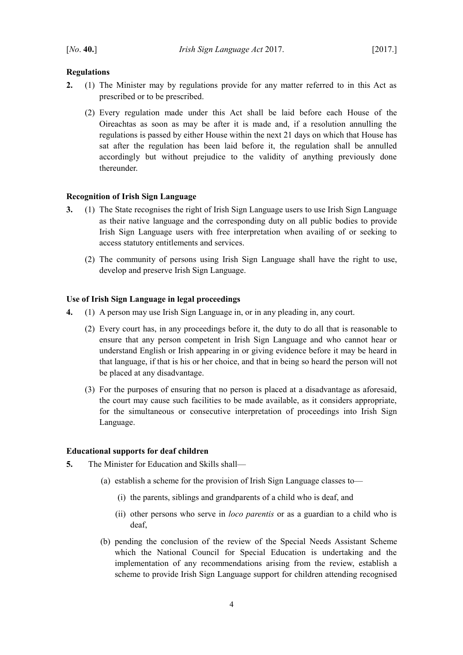### <span id="page-5-3"></span>**Regulations**

- **2.** (1) The Minister may by regulations provide for any matter referred to in this Act as prescribed or to be prescribed.
	- (2) Every regulation made under this Act shall be laid before each House of the Oireachtas as soon as may be after it is made and, if a resolution annulling the regulations is passed by either House within the next 21 days on which that House has sat after the regulation has been laid before it, the regulation shall be annulled accordingly but without prejudice to the validity of anything previously done thereunder.

#### <span id="page-5-2"></span>**Recognition of Irish Sign Language**

- **3.** (1) The State recognises the right of Irish Sign Language users to use Irish Sign Language as their native language and the corresponding duty on all public bodies to provide Irish Sign Language users with free interpretation when availing of or seeking to access statutory entitlements and services.
	- (2) The community of persons using Irish Sign Language shall have the right to use, develop and preserve Irish Sign Language.

### <span id="page-5-1"></span>**Use of Irish Sign Language in legal proceedings**

- **4.** (1) A person may use Irish Sign Language in, or in any pleading in, any court.
	- (2) Every court has, in any proceedings before it, the duty to do all that is reasonable to ensure that any person competent in Irish Sign Language and who cannot hear or understand English or Irish appearing in or giving evidence before it may be heard in that language, if that is his or her choice, and that in being so heard the person will not be placed at any disadvantage.
	- (3) For the purposes of ensuring that no person is placed at a disadvantage as aforesaid, the court may cause such facilities to be made available, as it considers appropriate, for the simultaneous or consecutive interpretation of proceedings into Irish Sign Language.

#### <span id="page-5-0"></span>**Educational supports for deaf children**

- **5.** The Minister for Education and Skills shall—
	- (a) establish a scheme for the provision of Irish Sign Language classes to—
		- (i) the parents, siblings and grandparents of a child who is deaf, and
		- (ii) other persons who serve in *loco parentis* or as a guardian to a child who is deaf,
	- (b) pending the conclusion of the review of the Special Needs Assistant Scheme which the National Council for Special Education is undertaking and the implementation of any recommendations arising from the review, establish a scheme to provide Irish Sign Language support for children attending recognised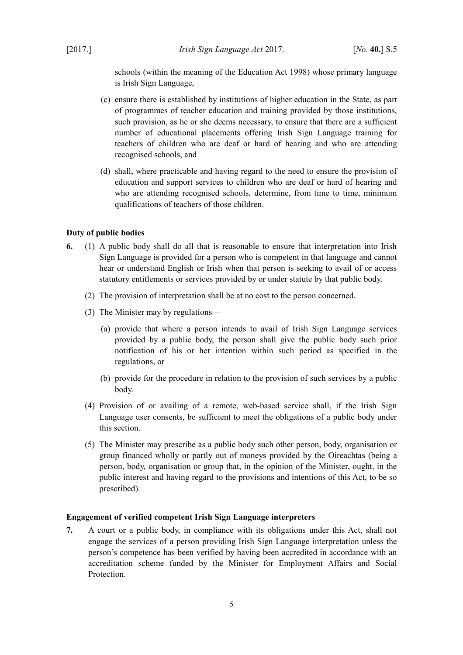schools (within the meaning of the Education Act 1998) whose primary language is Irish Sign Language,

- (c) ensure there is established by institutions of higher education in the State, as part of programmes of teacher education and training provided by those institutions, such provision, as he or she deems necessary, to ensure that there are a sufficient number of educational placements offering Irish Sign Language training for teachers of children who are deaf or hard of hearing and who are attending recognised schools, and
- (d) shall, where practicable and having regard to the need to ensure the provision of education and support services to children who are deaf or hard of hearing and who are attending recognised schools, determine, from time to time, minimum qualifications of teachers of those children.

#### <span id="page-6-1"></span>**Duty of public bodies**

- <span id="page-6-3"></span>**6.** (1) A public body shall do all that is reasonable to ensure that interpretation into Irish Sign Language is provided for a person who is competent in that language and cannot hear or understand English or Irish when that person is seeking to avail of or access statutory entitlements or services provided by or under statute by that public body.
	- (2) The provision of interpretation shall be at no cost to the person concerned.
	- (3) The Minister may by regulations—
		- (a) provide that where a person intends to avail of Irish Sign Language services provided by a public body, the person shall give the public body such prior notification of his or her intention within such period as specified in the regulations, or
		- (b) provide for the procedure in relation to the provision of such services by a public body.
	- (4) Provision of or availing of a remote, web-based service shall, if the Irish Sign Language user consents, be sufficient to meet the obligations of a public body under this section.
	- (5) The Minister may prescribe as a public body such other person, body, organisation or group financed wholly or partly out of moneys provided by the Oireachtas (being a person, body, organisation or group that, in the opinion of the Minister, ought, in the public interest and having regard to the provisions and intentions of this Act, to be so prescribed).

#### <span id="page-6-2"></span><span id="page-6-0"></span>**Engagement of verified competent Irish Sign Language interpreters**

**7.** A court or a public body, in compliance with its obligations under this Act, shall not engage the services of a person providing Irish Sign Language interpretation unless the person's competence has been verified by having been accredited in accordance with an accreditation scheme funded by the Minister for Employment Affairs and Social **Protection**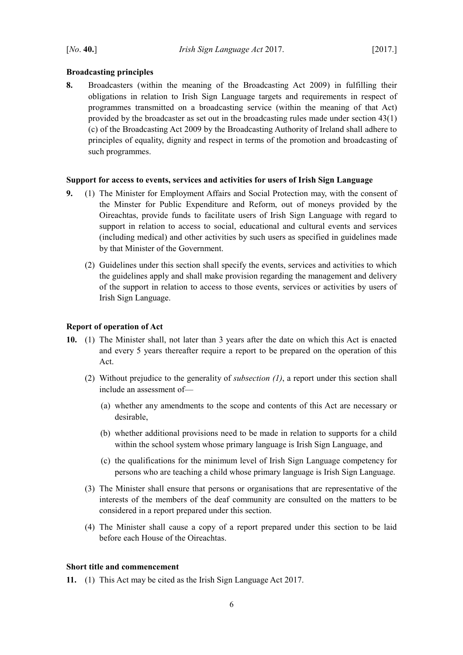### <span id="page-7-3"></span>**Broadcasting principles**

**8.** Broadcasters (within the meaning of the Broadcasting Act 2009) in fulfilling their obligations in relation to Irish Sign Language targets and requirements in respect of programmes transmitted on a broadcasting service (within the meaning of that Act) provided by the broadcaster as set out in the broadcasting rules made under section 43(1) (c) of the Broadcasting Act 2009 by the Broadcasting Authority of Ireland shall adhere to principles of equality, dignity and respect in terms of the promotion and broadcasting of such programmes.

### <span id="page-7-2"></span>**Support for access to events, services and activities for users of Irish Sign Language**

- **9.** (1) The Minister for Employment Affairs and Social Protection may, with the consent of the Minster for Public Expenditure and Reform, out of moneys provided by the Oireachtas, provide funds to facilitate users of Irish Sign Language with regard to support in relation to access to social, educational and cultural events and services (including medical) and other activities by such users as specified in guidelines made by that Minister of the Government.
	- (2) Guidelines under this section shall specify the events, services and activities to which the guidelines apply and shall make provision regarding the management and delivery of the support in relation to access to those events, services or activities by users of Irish Sign Language.

### <span id="page-7-1"></span>**Report of operation of Act**

- <span id="page-7-4"></span>**10.** (1) The Minister shall, not later than 3 years after the date on which this Act is enacted and every 5 years thereafter require a report to be prepared on the operation of this Act.
	- (2) Without prejudice to the generality of *subsection [\(1\)](#page-7-4)*, a report under this section shall include an assessment of—
		- (a) whether any amendments to the scope and contents of this Act are necessary or desirable,
		- (b) whether additional provisions need to be made in relation to supports for a child within the school system whose primary language is Irish Sign Language, and
		- (c) the qualifications for the minimum level of Irish Sign Language competency for persons who are teaching a child whose primary language is Irish Sign Language.
	- (3) The Minister shall ensure that persons or organisations that are representative of the interests of the members of the deaf community are consulted on the matters to be considered in a report prepared under this section.
	- (4) The Minister shall cause a copy of a report prepared under this section to be laid before each House of the Oireachtas.

### <span id="page-7-0"></span>**Short title and commencement**

**11.** (1) This Act may be cited as the Irish Sign Language Act 2017.